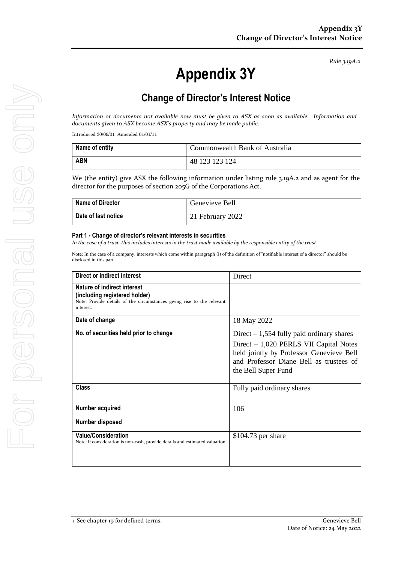#### *Rule 3.19A.2*

# **Appendix 3Y**

# **Change of Director's Interest Notice**

*Information or documents not available now must be given to ASX as soon as available. Information and documents given to ASX become ASX's property and may be made public.*

Introduced 30/09/01 Amended 01/01/11

| Name of entity | Commonwealth Bank of Australia |
|----------------|--------------------------------|
| <b>ABN</b>     | 48 123 123 124                 |

We (the entity) give ASX the following information under listing rule 3.19A.2 and as agent for the director for the purposes of section 205G of the Corporations Act.

| <b>Name of Director</b> | Genevieve Bell   |
|-------------------------|------------------|
| Date of last notice     | 21 February 2022 |

#### **Part 1 - Change of director's relevant interests in securities**

*In the case of a trust, this includes interests in the trust made available by the responsible entity of the trust*

Note: In the case of a company, interests which come within paragraph (i) of the definition of "notifiable interest of a director" should be disclosed in this part.

| Direct or indirect interest                                                                                                                         | Direct                                                                                                                                                                                              |
|-----------------------------------------------------------------------------------------------------------------------------------------------------|-----------------------------------------------------------------------------------------------------------------------------------------------------------------------------------------------------|
| Nature of indirect interest<br>(including registered holder)<br>Note: Provide details of the circumstances giving rise to the relevant<br>interest. |                                                                                                                                                                                                     |
| Date of change                                                                                                                                      | 18 May 2022                                                                                                                                                                                         |
| No. of securities held prior to change                                                                                                              | Direct $-1,554$ fully paid ordinary shares<br>Direct $-1,020$ PERLS VII Capital Notes<br>held jointly by Professor Genevieve Bell<br>and Professor Diane Bell as trustees of<br>the Bell Super Fund |
| <b>Class</b>                                                                                                                                        | Fully paid ordinary shares                                                                                                                                                                          |
| Number acquired                                                                                                                                     | 106                                                                                                                                                                                                 |
| Number disposed                                                                                                                                     |                                                                                                                                                                                                     |
| <b>Value/Consideration</b><br>Note: If consideration is non-cash, provide details and estimated valuation                                           | $$104.73$ per share                                                                                                                                                                                 |